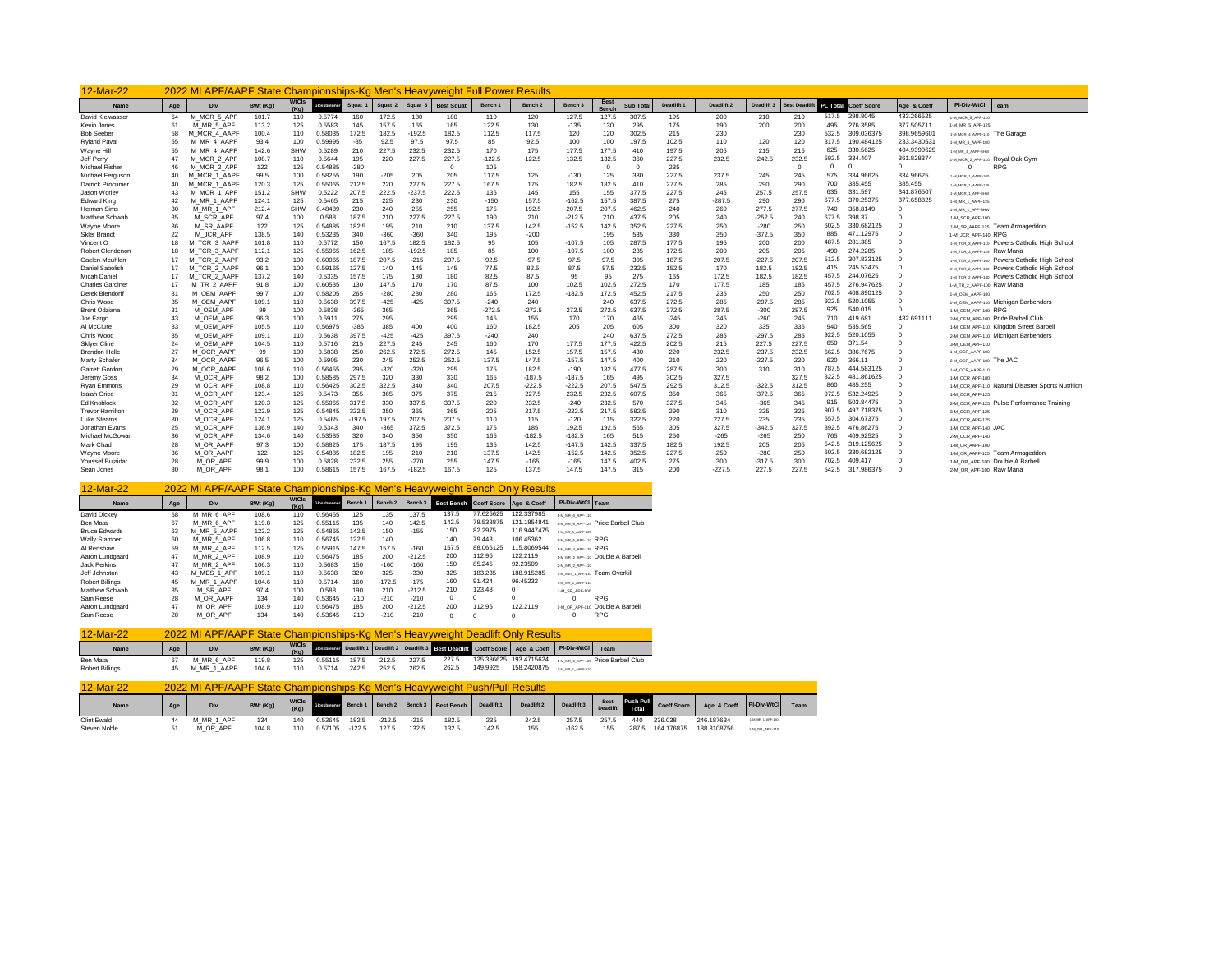| 12-Mar-22               |     | 2022 MI APF/AAPF State Championships-Kg Men's Heavyweight Full Power Results |          |              |                    |          |         |                    |                   |          |                    |                    |             |                  |            |            |            |                     |                 |                    |             |                                                   |
|-------------------------|-----|------------------------------------------------------------------------------|----------|--------------|--------------------|----------|---------|--------------------|-------------------|----------|--------------------|--------------------|-------------|------------------|------------|------------|------------|---------------------|-----------------|--------------------|-------------|---------------------------------------------------|
| <b>Name</b>             | Age | Div                                                                          | BWt (Ka) | <b>WtCls</b> | <b>Biossbrenne</b> | Squat    | Squat 2 | Squat <sub>3</sub> | <b>Best Squat</b> | Bench 1  | Bench <sub>2</sub> | Bench <sub>3</sub> | <b>Best</b> | <b>Sub Total</b> | Deadlift . | Deadlift 2 | Deadlift 3 | <b>Best Deadlif</b> | <b>PL Total</b> | <b>Coeff Score</b> | Age & Coeff | PI-Div-WtCl<br>Team                               |
| David Kielwasser        | 64  | M MCR 5 APF                                                                  | 101.7    | 110          | 0.5774             | 160      | 172.5   | 180                | 180               | 110      | 120                | 127.5              | 127.5       | 307.5            | 195        | 200        | 210        | 210                 | 517.5           | 298,8045           | 433.266525  | 1-M MCR 5 APF-110                                 |
| Kevin Jones             | 61  | M MR 5 APF                                                                   | 113.2    | 125          | 0.5583             | 145      | 157.5   | 165                | 165               | 122.5    | 130                | $-135$             | 130         | 295              | 175        | 190        | 200        | 200                 | 495             | 276,3585           | 377,505711  | 1-M_MR_5_APF-125                                  |
| <b>Bob Seeber</b>       | 58  | MCR 4 AAPF                                                                   | 100.4    | 110          | 0.58035            | 172.5    | 182.5   | $-192.5$           | 182.5             | 112.5    | 117.5              | 120                | 120         | 302.5            | 215        | 230        |            | 230                 | 532.5           | 309.036375         | 398.965960  | 1-M MCR 4 AAPF-110 The Garage                     |
| Ryland Paval            | 55  | M MR 4 AAPF                                                                  | 93.4     | 100          | 0.59995            | $-85$    | 92.5    | 97.5               | 97.5              | 85       | 92.5               | 100                | 100         | 197.5            | 102.5      | 110        | 120        | 120                 | 317.5           | 190.484125         | 233.343053  | 1-M MR 4 AAPF-100                                 |
| Wayne Hill              | 55  | M MR 4 AAPF                                                                  | 142.6    | <b>SHW</b>   | 0.5289             | 210      | 227.5   | 232.5              | 232.5             | 170      | 175                | 177.5              | 177.5       | 410              | 197.5      | 205        | 215        | 215                 | 625             | 330.5625           | 404.9390625 | I-M MR 4 AAPF-SHW                                 |
| Jeff Perry              | 47  | M MCR 2 APF                                                                  | 108.7    | 110          | 0.5644             | 195      | 220     | 227.5              | 227.5             | $-122.5$ | 122.5              | 132.5              | 132.5       | 360              | 227.5      | 232.5      | $-242.5$   | 232.5               | 592.5           | 334,407            | 361.828374  | 1-M_MCR_2_APF-110 Royal Oak Gym                   |
| Michael Risher          | 46  | M MCR 2 APF                                                                  | 122      | 125          | 0.54885            | $-280$   |         |                    | $\Omega$          | 105      |                    |                    | $\Omega$    | $\Omega$         | 235        |            |            | $\Omega$            | $\Omega$        |                    |             | $\Omega$<br><b>RPG</b>                            |
| Michael Ferguson        | 40  | M MCR 1 AAPF                                                                 | 99.5     | 100          | 0.58255            | 190      | $-205$  | 205                | 205               | 117.5    | 125                | $-130$             | 125         | 330              | 227.5      | 237.5      | 245        | 245                 | 575             | 334,96625          | 334.96625   | 1-M_MCR_1_AAPF-100                                |
| Darrick Procunier       | 40  | M MCR 1 AAPF                                                                 | 120.3    | 125          | 0.55065            | 212.5    | 220     | 227.5              | 227.5             | 167.5    | 175                | 182.5              | 182.5       | 410              | 277.5      | 285        | 290        | 290                 | 700             | 385.455            | 385.455     | 1-M_MCR_1_AAPF-125                                |
| Jason Worlev            | 43  | M MCR 1 APF                                                                  | 151.2    | <b>SHW</b>   | 0.5222             | 207.5    | 222.5   | $-237.5$           | 222.5             | 135      | 145                | 155                | 155         | 377.5            | 227.5      | 245        | 257.5      | 257.5               | 635             | 331.597            | 341.876507  | 1-M MCR 1 APF-SHW                                 |
| Edward King             | 42  | M MR 1 AAPF                                                                  | 124.1    | 125          | 0.5465             | 215      | 225     | 230                | 230               | $-150$   | 157.5              | $-162.5$           | 157.5       | 387.5            | 275        | $-287.5$   | 290        | 290                 | 677.5           | 370.25375          | 377,658825  | 1-M MR 1 AAPF-125                                 |
| Herman Sims             | 30  | M MR 1 APF                                                                   | 212.4    | SHW          | 0.48489            | 230      | 240     | 255                | 255               | 175      | 192.5              | 207.5              | 207.5       | 462.5            | 240        | 260        | 277.5      | 277.5               | 740             | 358,8149           |             | 1-M MR 1 APF-SHM                                  |
| Matthew Schwab          | 35  | M SCR APF                                                                    | 97.4     | 100          | 0.588              | 187.5    | 210     | 227.5              | 227.5             | 190      | 210                | $-212.5$           | 210         | 437.5            | 205        | 240        | $-252.5$   | 240                 | 677.5           | 398.37             |             | 1-M SCR APF-100                                   |
| Wayne Moore             | 36  | M SR AAPF                                                                    | 122      | 125          | 0.54885            | 182.5    | 195     | 210                | 210               | 137.5    | 142.5              | $-152.5$           | 142.5       | 352.5            | 227.5      | 250        | $-280$     | 250                 | 602.5           | 330.682125         |             | 1-M SR AAPF-125 Team Armageddon                   |
| <b>Skler Brandt</b>     | 22  | M_JCR_APF                                                                    | 138.5    | 140          | 0.53235            | 340      | $-360$  | $-360$             | 340               | 195      | $-200$             |                    | 195         | 535              | 330        | 350        | $-372.5$   | 350                 | 885             | 471.12975          |             | 1-M_JCR_APF-140 RPG                               |
| Vincent O               | 18  | M TCR 3 AAPF                                                                 | 101.8    | 110          | 0.5772             | 150      | 167.    | 182.5              | 182.5             | 95       | 105                | $-107.5$           | 105         | 287.5            | 177.5      | 195        | 200        | 200                 | 487             | 281.385            |             | 1-M TCR 3 AAPF-110 POWers Catholic High School    |
| Robert Clendenon        | 18  | M TCR 3 AAPF                                                                 | 112.1    | 125          | 0.55965            | 162.5    | 185     | $-192.5$           | 185               | 85       | 100                | $-107.5$           | 100         | 285              | 172.5      | 200        | 205        | 205                 | 490             | 274.2285           |             | 1-M TCR 3 AAPF-125 Raw Mana                       |
| Caelen Meuhlen          | 17  | TCR 2 AAPF<br>м                                                              | 93.2     | 100          | 0.60065            | 187.5    | 207.    | $-215$             | 207.5             | 92.5     | $-97.5$            | 97.5               | 97.5        | 305              | 187.5      | 207.5      | $-227.5$   | 207.5               | 512.5           | 307.833125         |             | 1-M_TCR_2_AAPF-100 POWers Catholic High School    |
| Daniel Sabolish         | 17  | M_TCR_2_AAPF                                                                 | 96.7     | 100          | 0.59165            | 127.5    | 140     | 145                | 145               | 77.5     | 82.5               | 87.5               | 87.5        | 232.5            | 152.5      | 170        | 182.5      | 182.5               | 415             | 245.53475          |             | 2-M TCR 2 AAPF-100 POWers Catholic High School    |
| Micah Daniel            | 17  | M_TCR_2_AAPF                                                                 | 137.2    | 140          | 0.5335             | 157.5    | 175     | 180                | 180               | 82.5     | 87.5               | 95                 | 95          | 275              | 165        | 172.5      | 182.5      | 182.5               | 457             | 244.07625          |             | 1-M_TCR_2_AAPF-140 POWers Catholic High School    |
| <b>Charles Gardiner</b> | 17  | M TR 2 AAPF                                                                  | 91.8     | 100          | 0.60535            | 130      | 147.5   | 170                | 170               | 87.5     | 100                | 102.5              | 102.5       | 272.5            | 170        | 177.5      | 185        | 185                 | 457.5           | 276.947625         |             | 1-м тв 2 дарг-100 Raw Mana                        |
| Derek Biendorff         | 31  | M OEM AAPF                                                                   | 99.7     | 100          | 0.58205            | 265      | $-280$  | 280                | 280               | 165      | 172.5              | $-182.5$           | 172.5       | 452.5            | 217.5      | 235        | 250        | 250                 | 702.5           | 408.890125         |             | 1-M OEM AAPF-100                                  |
| Chris Wood              | 35  | M OEM AAPF                                                                   | 109.1    | 110          | 0.5638             | 397.5    | $-425$  | $-425$             | 397.              | $-240$   | 240                |                    | 240         | 637.5            | 272.5      | 285        | $-297.5$   | 285                 | 922.5           | 520.1055           |             | 1-M OEM AAPF-110 Michigan Barbenders              |
| <b>Brent Odziana</b>    | 31  | M OEM APP                                                                    | 99       | 100          | 0.5838             | $-365$   | 365     |                    | 365               | $-272.5$ | $-272.5$           | 272.5              | 272.5       | 637.5            | 272.5      | 287.5      | $-300$     | 287.5               | 925             | 540.015            |             | 1-M OEM APF-100 RPG                               |
| Joe Fargo               | 43  | M OEM APF                                                                    | 96.3     | 100          | 0.5911             | 275      | 295     |                    | 295               | 145      | 155                | 170                | 170         | 465              | $-245$     | 245        | $-260$     | 245                 | 710             | 419,681            | 432.69111   | 2-M OEM APF-100 Pride Barbell Club                |
| Al McClure              | 33  | M OEM APF                                                                    | 105.5    | 110          | 0.56975            | $-385$   | 385     | 400                | 400               | 160      | 182.5              | 205                | 205         | 605              | 300        | 320        | 335        | 335                 | 940             | 535.565            |             | 1-M OEM APF-110 Kingdon Street Barbell            |
| Chris Wood              | 35  | M OEM APP                                                                    | 109.1    | 110          | 0.5638             | 397.5    | $-425$  | $-425$             | 397.5             | $-240$   | 240                |                    | 240         | 637.5            | 272.5      | 285        | $-297.5$   | 285                 | 922.5           | 520.1055           |             | 2-M OEM APF-110 Michigan Barbenders               |
| Sklyer Cline            | 24  | M OEM APF                                                                    | 104.5    | 110          | 0.5716             | 215      | 227.5   | 245                | 245               | 160      | 170                | 177.5              | 177.5       | 422.5            | 202.5      | 215        | 227.5      | 227.5               | 650             | 371.54             |             | 3-M_OEM_APF-110                                   |
| <b>Brandon Helle</b>    | 27  | M OCR AAPF                                                                   | 99       | 100          | 0.5838             | 250      | 262.5   | 272.5              | 272.5             | 145      | 152.5              | 157.5              | 157.5       | 430              | 220        | 232.5      | $-237.5$   | 232.5               | 662.5           | 386,7675           |             | 1-M OCR AAPF-100                                  |
| Marty Schafer           | 34  | M_OCR_AAPF                                                                   | 96.5     | 100          | 0.5905             | 230      | 245     | 252.5              | 252.5             | 137.5    | 147.5              | $-157.5$           | 147.5       | 400              | 210        | 220        | $-227.5$   | 220                 | 620             | 366.11             |             | 2-M OCR AAPF-100 The JAC                          |
| Garrett Gordon          | 29  | OCR AAPF<br>M                                                                | 108.6    | 110          | 0.56455            | 295      | $-320$  | $-320$             | 295               | 175      | 182.5              | $-190$             | 182.5       | 4775             | 287.5      | 300        | 310        | 310                 | 787             | 444.583125         |             | 1-M OCR AAPF-110                                  |
| Jeremy Goss             | 34  | M OCR APF                                                                    | 98.2     | 100          | 0.58585            | 297.5    | 320     | 330                | 330               | 165      | $-187.5$           | $-187.5$           | 165         | 495              | 302.5      | 327.5      |            | 327.5               | 822.5           | 481.861625         |             | 1-M_OCR_APF-100                                   |
| Rvan Emmons             | 29  | M OCR APF                                                                    | 108.8    | 110          | 0.56425            | 302.5    | 322.5   | 340                | 340               | 207.5    | $-222.5$           | $-222.5$           | 207.5       | 547.5            | 292.5      | 312.5      | $-322.5$   | 312.5               | 860             | 485.255            |             | 1-M OCR APF-110 Natural Disaster Sports Nutrition |
| <b>Isaiah Grice</b>     | 31  | M OCR APF                                                                    | 123.4    | 125          | 0.5473             | 355      | 365     | 375                | 375               | 215      | 227.5              | 232.5              | 232.5       | 607.5            | 350        | 365        | $-372.5$   | 365                 | 972.5           | 532.24925          |             | 1-M OCR APF-125                                   |
| <b>Ed Knoblock</b>      | 32  | M_OCR_APF                                                                    | 120.3    | 125          | 0.55065            | 317.5    | 330     | 337.5              | 337.5             | 220      | 232.5              | $-240$             | 232.5       | 570              | 327.5      | 345        | $-365$     | 345                 | 915             | 503.84475          |             | 2-M OCR APF-125 Pulse Performance Training        |
| <b>Trevor Hamilton</b>  | 29  | M OCR APF                                                                    | 122.9    | 125          | 0.54845            | 322.5    | 350     | 365                | 365               | 205      | 217.5              | $-222.5$           | 217.5       | 582.5            | 290        | 310        | 325        | 325                 | 907             | 497.718375         |             | 3-M_OCR_APF-125                                   |
| <b>Luke Stearns</b>     | 30  | M OCR APF                                                                    | 124.1    | 125          | 0.5465             | $-197.5$ | 197.5   | 207.5              | 207.5             | 110      | 115                | $-120$             | 115         | 322.5            | 220        | 227.5      | 235        | 235                 | 557.5           | 304.67375          |             | 4-M OCR APF-125                                   |
| Jonathan Evans          | 25  | M OCR APF                                                                    | 136.9    | 140          | 0.5343             | 340      | $-365$  | 372.5              | 372.5             | 175      | 185                | 192.5              | 192.5       | 565              | 305        | 327.5      | $-342.5$   | 327.5               | 892.5           | 476.86275          |             | 1-M_OCR_APF-140 JAC                               |
| Michael McGowar         | 36  | M OCR APF                                                                    | 134.6    | 140          | 0.53585            | 320      | 340     | 350                | 350               | 165      | $-182.5$           | $-182.5$           | 165         | 515              | 250        | $-265$     | $-265$     | 250                 | 765             | 409.92525          |             | 2-M OCR APF-140                                   |
| Mark Chad               | 28  | M_OR_AAPF                                                                    | 97.3     | 100          | 0.58825            | 175      | 187.5   | 195                | 195               | 135      | 142.5              | $-147.5$           | 142.5       | 337.5            | 182.5      | 192.5      | 205        | 205                 | 542.5           | 319.125625         |             | 1-M OR AAPF-100                                   |
| Wayne Moore             | 36  | M OR AAPF                                                                    | 122      | 125          | 0.54885            | 182.5    | 195     | 210                | 210               | 137.5    | 142.5              | $-152.5$           | 142.5       | 352.5            | 227.5      | 250        | $-280$     | 250                 | 602.5           | 330.682125         |             | 1-M OR AAPF-125 Team Armageddon                   |
| Youssef Buiaidar        | 28  | M OR APF                                                                     | 99.9     | 100          | 0.5828             | 232.5    | 255     | $-270$             | 255               | 147.5    | $-165$             | $-165$             | 147.5       | 402.5            | 275        | 300        | $-317.5$   | 300                 | 702.5           | 409,417            |             | 1-M OR APF-100 Double A Barbell                   |
| Sean Jones              | 30  | M OR APF                                                                     | 98.      | 100          | 0.58615            | 157.5    | 167.5   | $-182.5$           | 167.5             | 125      | 137.5              | 147.5              | 147.5       | 315              | 200        | $-227.5$   | 227.5      | 227.5               | 542.5           | 317,98637          |             | 2-M OR APF-100 Raw Mana                           |

| $12-Mar-22$            |     | 2022 MI APF/AAPF State Championships-Kg Men's Heavyweight Bench Only Results |          |               |              |         |                    |          |                   |                         |             |                      |                                     |
|------------------------|-----|------------------------------------------------------------------------------|----------|---------------|--------------|---------|--------------------|----------|-------------------|-------------------------|-------------|----------------------|-------------------------------------|
| Name                   | Age | Div                                                                          | BWt (Kg) | WtCls<br>(Ka) | Glossbrenner | Bench 1 | Bench <sub>2</sub> | Bench 3  | <b>Best Bench</b> | Coeff Score Age & Coeff |             | PI-Div-WtCl Team     |                                     |
| David Dickey           | 68  | M MR 6 APF                                                                   | 108.6    | 110           | 0.56455      | 125     | 135                | 137.5    | 137.5             | 77.625625               | 122.337985  | 1-M MR 6 APF-110     |                                     |
| Ben Mata               | 67  | M MR 6 APF                                                                   | 119.8    | 125           | 0.55115      | 135     | 140                | 142.5    | 142.5             | 78.538875               | 121.1854841 |                      | 1-M MR 6 APF-125 Pride Barbell Club |
| <b>Bruce Edwards</b>   | 63  | M MR 5 AAPF                                                                  | 122.2    | 125           | 0.54865      | 142.5   | 150                | $-155$   | 150               | 82.2975                 | 116.9447475 | 1-M MR 5 AAPF-125    |                                     |
| Wally Stamper          | 60  | M MR 5 APF                                                                   | 106.8    | 110           | 0.56745      | 122.5   | 140                |          | 140               | 79.443                  | 106.45362   | 1-M_MR_S_APF-110 RPG |                                     |
| Al Renshaw             | 59  | M MR 4 APF                                                                   | 112.5    | 125           | 0.55915      | 147.5   | 157.5              | $-160$   | 157.5             | 88.066125               | 115.8069544 | 1-M MR 4 APF-125 RPG |                                     |
| Aaron Lundgaard        | 47  | M MR 2 APF                                                                   | 108.9    | 110           | 0.56475      | 185     | 200                | $-212.5$ | 200               | 112.95                  | 122.2119    |                      | 1-M MR 2 APF-110 DOUble A Barbell   |
| Jack Perkins           | 47  | M MR 2 APF                                                                   | 106.3    | 110           | 0.5683       | 150     | $-160$             | $-160$   | 150               | 85.245                  | 92.23509    | 2-M MR 2 APF-110     |                                     |
| Jeff Johnston          | 43  | M MES 1 APF                                                                  | 109.1    | 110           | 0.5638       | 320     | 325                | $-330$   | 325               | 183.235                 | 188.915285  |                      | 1-M MES 1 APP-110 Team Overkill     |
| <b>Robert Billings</b> | 45  | M_MR_1_AAPF                                                                  | 104.6    | 110           | 0.5714       | 160     | $-172.5$           | $-175$   | 160               | 91.424                  | 96.45232    | 1-M MR 1 AAPF-110    |                                     |
| Matthew Schwab         | 35  | M SR APF                                                                     | 97.4     | 100           | 0.588        | 190     | 210                | $-212.5$ | 210               | 123.48                  | 0           | 1-M SR APF-100       |                                     |
| Sam Reese              | 28  | M OR AAPF                                                                    | 134      | 140           | 0.53645      | $-210$  | $-210$             | $-210$   | 0                 | $\Omega$                | $\Omega$    | $\Omega$             | <b>RPG</b>                          |
| Aaron Lundgaard        | 47  | M OR APF                                                                     | 108.9    | 110           | 0.56475      | 185     | 200                | $-212.5$ | 200               | 112.95                  | 122.2119    |                      | 1-M OR APF-110 DOUble A Barbell     |
| Sam Reese              | 28  | M OR APF                                                                     | 134      | 140           | 0.53645      | $-210$  | $-210$             | $-210$   | $\mathbf 0$       | $\Omega$                | $\Omega$    | 0                    | <b>RPG</b>                          |

| $12$ -Mar-22           |     | 2022 MI APF/AAPF State Championships-Kg Men's Heavyweight Deadlift Only Results |          |                      |         |       |       |       |       |          |                                                                                                     |                   |                                                            |
|------------------------|-----|---------------------------------------------------------------------------------|----------|----------------------|---------|-------|-------|-------|-------|----------|-----------------------------------------------------------------------------------------------------|-------------------|------------------------------------------------------------|
| Name                   | Age | Div                                                                             | BWt (Kg) | <b>WtCls</b><br>(Ka) |         |       |       |       |       |          | Glossbrenner Deadlift 1 Deadlift 2 Deadlift 3 Best Deadlift Coeff Score   Age & Coeff   PI-Div-WtCl |                   | Team                                                       |
| Ben Mata               |     | M MR 6 APF                                                                      | 119.8    | 125                  | 0.55115 | 187.5 | 212.5 | 227.5 | 227.5 |          |                                                                                                     |                   | 125.386625 193.4715624 1-M MR 6 APF-125 Pride Barbell Club |
| <b>Robert Billings</b> |     | AAPF<br><b>M MR 1</b>                                                           | 104.6    | 110                  | 0.5714  | 242.5 | 252.5 | 262.5 | 262.5 | 149.9925 | 158.2420875                                                                                         | 1-M MR 1 AAPF-110 |                                                            |

| 12-Mar-22          |     | 2022 MI APF/AAPF State Championships-Kg Men's Heavyweight Push/Pull Results |          |                      |         |          |          |        |                                                           |       |            |            |                |     |                  |             |                     |      |
|--------------------|-----|-----------------------------------------------------------------------------|----------|----------------------|---------|----------|----------|--------|-----------------------------------------------------------|-------|------------|------------|----------------|-----|------------------|-------------|---------------------|------|
| Name               | Age | Div                                                                         | BWt (Kg) | <b>WtCls</b><br>(Kg) |         |          |          |        | Glossbreams Bench 1 Bench 2 Bench 3 Best Bench Deadlift 1 |       | Deadlift 2 | Deadlift 3 | Best Push Pull |     | Coeff Score      | Age & Coeff | <b>PI-Div-WtCl</b>  | Team |
| <b>Clint Ewald</b> | 44  | M MR 1 APF                                                                  | 134      | 140                  | 0.53645 | 182.5    | $-212.5$ | $-215$ | 182.5                                                     | 235   | 242.5      | 257.5      | 257.5          | 440 | 236.038          | 246.187634  | 1-M, MR, 1, APF-140 |      |
| Steven Noble       |     | M_OR_APF                                                                    | 104.8    | 110                  | 0.57105 | $-122.5$ | 127.5    | 132.5  | 132.5                                                     | 142.5 | 155        | $-162.5$   | 155            |     | 287.5 164.176875 | 188.3108756 | 1-M OR APF-110      |      |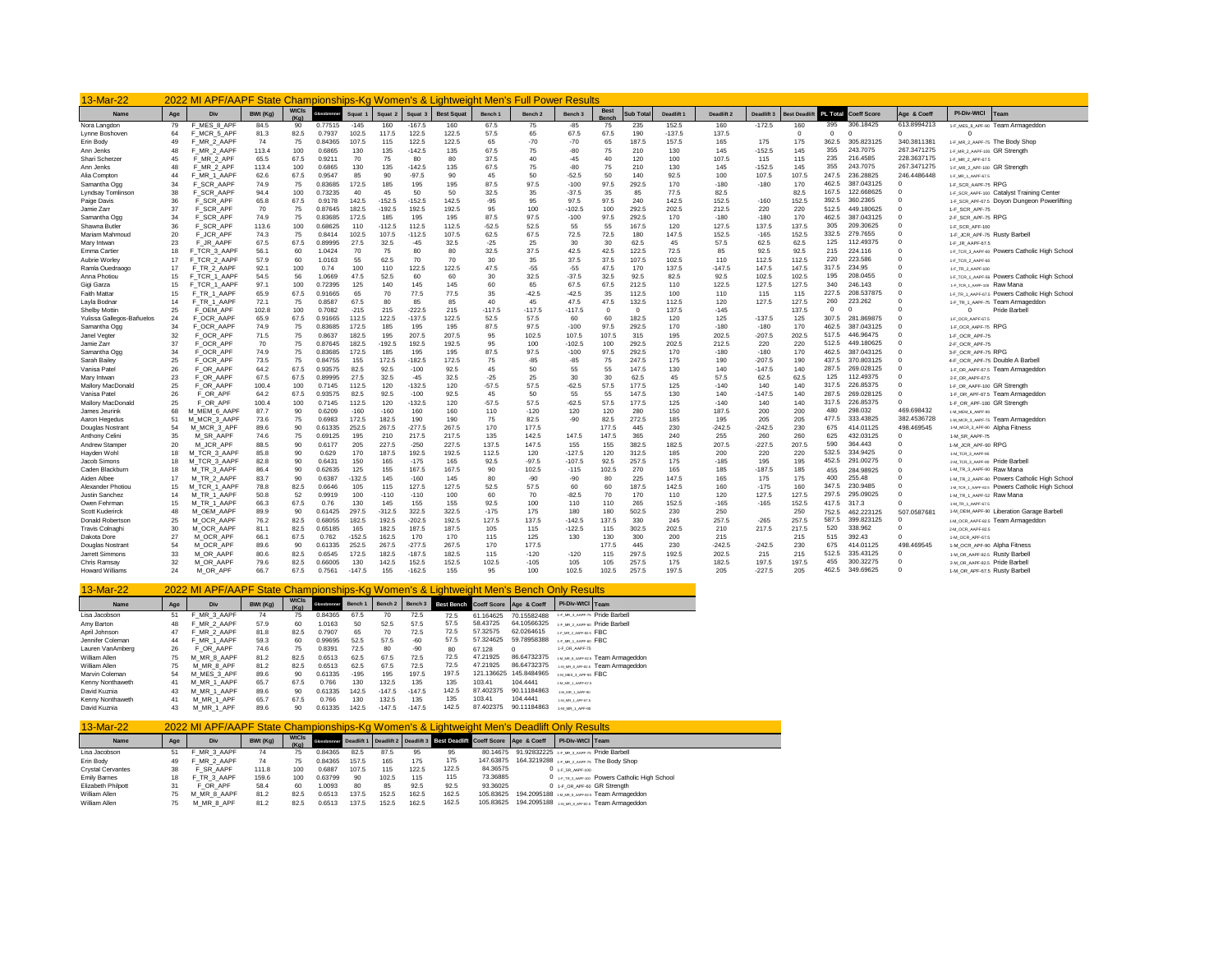| 13-Mar-22                                  | 2022 MI APF/AAPF State Championships-Kg Women's & Lightweight Men's Full Power Results |                              |              |                                      |                  |            |            |                    |                   |               |                    |                    |            |               |            |            |              |              |              |                       |                      |                                                                                    |
|--------------------------------------------|----------------------------------------------------------------------------------------|------------------------------|--------------|--------------------------------------|------------------|------------|------------|--------------------|-------------------|---------------|--------------------|--------------------|------------|---------------|------------|------------|--------------|--------------|--------------|-----------------------|----------------------|------------------------------------------------------------------------------------|
| Name                                       | Age                                                                                    | Div                          | BWt (Ka)     | <b>WtCls</b><br>$(K_{\mathfrak{m}})$ |                  | Squat      |            | Squat <sub>3</sub> | <b>Best Squat</b> | Bench 1       | Bench <sub>2</sub> | Bench <sub>3</sub> |            | ub Tota       | Deadlift : | Deadlift 2 | Deadlift 3   | lest Deadli  | PL Total     | <b>Coeff Score</b>    | Age & Coeff          | PI-Div-WtCl<br>Team                                                                |
| Nora Langdon                               | 79                                                                                     | F MES 8 APF                  | 84.5         | 90                                   | 0.77515          | $-145$     | 160        | $-167.5$           | 160               | 67.5          | 75                 | $-85$              | 75         | 235           | 152.5      | 160        | $-172.5$     | 160          | 395          | 306.18425             | 613.8994213          | 1-F_MES_8_APF-90 Team Armageddon                                                   |
| Lynne Boshoven                             | 64                                                                                     | F_MCR_5_APF                  | 81.3         | 82.5                                 | 0.7937           | 102.5      | 117.5      | 122.5              | 122.5             | 57.5          | 65                 | 67.5               | 67.5       | 190           | $-137.5$   | 137.5      |              | $\Omega$     | $\Omega$     | $\Omega$              | $\Omega$             | $\Omega$                                                                           |
| Erin Body                                  | 49                                                                                     | F MR 2 AAPF                  | 74           | 75                                   | 0.84365          | 107.5      | 115        | 122.5              | 122.5             | 65            | $-70$              | $-70$              | 65         | 187.5         | 157.5      | 165        | 175          | 175          | 362.5        | 305.823125            | 340.3811381          | 1-F_MR_2_AAPF-75 The Body Shop                                                     |
| Ann Jenks                                  | 48                                                                                     | F_MR_2_AAPF                  | 113.4        | 100                                  | 0.6865           | 130        | 135        | $-142.5$           | 135               | 67.5          | 75                 | $-80$              | 75         | 210           | 130        | 145        | $-152.5$     | 145          | 355          | 243,7075              | 267.3471275          | 1-F_MR_2_AAPF-100 GR Strength                                                      |
| Shari Scherzer                             | 45                                                                                     | F MR 2 APF                   | 65.5         | 67.5                                 | 0.921            | 70         | 75         | 80                 | 80                | 37.5          | 40                 | $-45$              | 40         | 120           | 100        | 107.5      | 115          | 115          | 235          | 216,4585              | 228.3637175          | 1-F MR 2 APF-67.5                                                                  |
| Ann Jenks                                  | 48                                                                                     | F_MR_2_APF                   | 113.4        | 100                                  | 0.6865           | 130        | 135        | $-142.5$           | 135               | 67.5          | 75                 | $-80$              | 75         | 210           | 130        | 145        | $-152.5$     | 145          | 355          | 243,7075              | 267.3471275          | 1-F MR 2 APF-100 GR Strenath                                                       |
| Alia Compton                               | 44                                                                                     | F MR 1 AAPF                  | 62.6         | 67.5                                 | 0.9547           | 85         | 90         | $-97.5$            | 90                | 45            | 50                 | $-52.5$            | 50         | 140           | 92.5       | 100        | 107.5        | 107.5        | 247.5        | 236,28825             | 246.4486448          | 1-F_MR_1_AAPF-67.5                                                                 |
| Samantha Ogg                               | 34                                                                                     | F SCR AAPF                   | 74.9         | 75                                   | 0.83685          | 172.5      | 185        | 195                | 195               | 87.5          | 97.5               | $-100$             | 97.5       | 292.5         | 170        | $-180$     | $-180$       | 170          | 462.5        | 387.043125            | $\Omega$             | 1-F SCR AAPF-75 RPG                                                                |
| <b>Lyndsay Tomlinson</b>                   | 38                                                                                     | F_SCR_AAPF                   | 94.4         | 100                                  | 0.73235          | 40         | 45         | 50                 | 50                | 32.5          | 35                 | $-37.5$            | 35         | 85            | 77.5       | 82.5       |              | 82.5         | 167.5        | 122.668625            | $^{\circ}$           | 1-F_SCR_AAPF-100 Catalyst Training Center                                          |
| Paige Davis                                | 36                                                                                     | F_SCR_APF                    | 65.8         | 67.5                                 | 0.9178           | 142.5      | $-152.5$   | $-152.5$           | 142.5             | $-95$         | 95                 | 97.5               | 97.5       | 240           | 142.5      | 152.5      | $-160$       | 152.5        | 392.5        | 360,2365              | $\Omega$             | 1-F_SCR_APF-67.5 Doyon Dungeon Powerlifting                                        |
| Jamie Zarr                                 | 37                                                                                     | F SCR APF                    | 70           | 75                                   | 0.87645          | 182.5      | $-192.5$   | 192.5              | 192.5             | 95            | 100                | $-102.5$           | 100        | 292.5         | 202.5      | 212.5      | 220          | 220          | 512.5        | 449.180625            | $\Omega$<br>$\Omega$ | 1-F SCR APF-75                                                                     |
| Samantha Ogg                               | 34                                                                                     | F_SCR_APF                    | 74.9         | 75                                   | 0.83685          | 172.5      | 185        | 195                | 195               | 87.5          | 97.5               | $-100$             | 97.5       | 292.5         | 170        | $-180$     | $-180$       | 170          | 462.5<br>305 | 387.043125            | $\Omega$             | 2-F_SCR_APF-75 RPG                                                                 |
| Shawna Butler                              | 36                                                                                     | F SCR APF                    | 113.6        | 100                                  | 0.68625          | 110        | $-112.5$   | 112.5              | 112.5             | $-52.5$       | 52.5               | 55                 | 55         | 167.5         | 120        | 127.5      | 137.5        | 137.5        | 332.5        | 209.30625<br>279,7655 | $\Omega$             | 1-F SCR APF-100                                                                    |
| Mariam Mahmoud                             | 20                                                                                     | F_JCR_APF                    | 74.3         | 75                                   | 0.8414           | 102.5      | 107.5      | $-112.5$           | 107.5             | 62.5          | 67.5               | 72.5               | 72.5       | 180           | 147.5      | 152.5      | $-165$       | 152.5        | 125          | 112,49375             | $\Omega$             | 1-F_JCR_APF-75 Rusty Barbell                                                       |
| Mary Intwan                                | 23<br>18                                                                               | F JR AAPF                    | 67.5         | 67.5<br>60                           | 0.89995          | 27.5<br>70 | 32.5       | $-45$<br>80        | 32.5<br>$\alpha$  | $-25$<br>32.5 | 25<br>37.5         | 30<br>42.5         | 30<br>42.5 | 62.5<br>122.5 | 45<br>72.5 | 57.5<br>85 | 62.5<br>92.5 | 62.5<br>92.5 | 215          | 224.116               | $\Omega$             | 1-F_JR_AAPF-67.5                                                                   |
| Emma Cartier<br>Aubrie Worley              | 17                                                                                     | F_TCR_3_AAPF<br>F TCR 2 AAPF | 56.1<br>57.9 | 60                                   | 1.0424<br>1.0163 | 55         | 75<br>62.5 | 70                 | 70                | 30            | 35                 | 37.5               | 37.5       | 107.5         | 102.5      | 110        | 112.5        | 112.5        | 220          | 223.586               | $\Omega$             | 1-F_TCR_3_AAPF-60 POWers Catholic High School                                      |
| Ramla Ouedraogo                            | 17                                                                                     | F TR 2 AAPF                  | 92.1         | 100                                  | 0.74             | 100        | 110        | 122.5              | 122.5             | 47.5          | $-55$              | $-55$              | 47.5       | 170           | 137.5      | $-147.5$   | 147.5        | 147.5        | 317.5        | 234.95                | $\Omega$             | 1-F TCR 2 AAPF-60                                                                  |
| Anna Photiou                               | 15                                                                                     | F_TCR_1_AAPF                 | 54.5         | 56                                   | 1.0669           | 47.5       | 52.5       | 60                 | 60                | 30            | 32.5               | $-37.5$            | 32.5       | 92.5          | 82.5       | 92.5       | 102.5        | 102.5        | 195          | 208,0455              | $\Omega$             | 1-F_TR_2_AAPF-100<br>1-F_TCR_1_AAPF-56 Powers Catholic High School                 |
| Gigi Garza                                 | 15                                                                                     | F TCR 1 AAPF                 | 97.1         | 100                                  | 0.72395          | 125        | 140        | 145                | 145               | 60            | 65                 | 67.5               | 67.5       | 212.5         | 110        | 122.5      | 127.5        | 127.5        | 340          | 246.143               | $\Omega$             |                                                                                    |
| <b>Faith Mattar</b>                        | 15                                                                                     | F TR 1 AAPF                  | 65.9         | 67.5                                 | 0.91665          | 65         | 70         | 77.5               | 77.5              | 35            | $-42.5$            | $-42.5$            | 35         | 112.5         | 100        | 110        | 115          | 115          | 227.5        | 208,537875            | $\Omega$             | 1-F TCR 1 AAPF-100 Raw Mana                                                        |
| Layla Bodnar                               | 14                                                                                     | F TR 1 AAPF                  | 72.1         | 75                                   | 0.8587           | 67.5       | 80         | 85                 | 85                | 40            | 45                 | 47.5               | 47.5       | 132.5         | 112.5      | 120        | 127.5        | 127.5        | 260          | 223.262               | $\Omega$             | 1-F_TR_1_AAPF-67.5 Powers Catholic High School<br>1-F_TR_1_AAPF-75 Team Armageddon |
|                                            | 25                                                                                     | F OEM APF                    | 102.8        | 100                                  | 0.7082           | $-215$     | 215        | $-222.5$           | 215               | $-117.5$      | $-117.5$           | $-117.5$           | $\Omega$   | $\Omega$      | 137.5      | $-145$     |              | 137.5        | $\Omega$     |                       | $\Omega$             | $\Omega$<br>Pride Barbell                                                          |
| Shelby Mottin<br>Yulissa Gallegos-Bañuelos | 24                                                                                     | F OCR AAPF                   | 65.9         | 67.5                                 | 0.91665          | 112.5      | 122.5      | $-137.5$           | 122.5             | 52.5          | 57.5               | 60                 | 60         | 182.5         | 120        | 125        | $-137.5$     | 125          | 307.5        | 281.869875            | $\Omega$             |                                                                                    |
| Samantha Ogg                               | 34                                                                                     | F OCR AAPF                   | 74.9         | 75                                   | 0.83685          | 172.5      | 185        | 195                | 195               | 87.5          | 97.5               | $-100$             | 97.5       | 292.5         | 170        | $-180$     | $-180$       | 170          | 462.5        | 387.043125            | $\Omega$             | 1-F_OCR_AAPF-67.5<br>1-F OCR AAPF-75 RPG                                           |
| Janel Vegter                               | 32                                                                                     | F_OCR_APF                    | 71.5         | 75                                   | 0.8637           | 182.5      | 195        | 207.5              | 207.5             | 95            | 102.5              | 107.5              | 107.5      | 315           | 195        | 202.5      | $-207.5$     | 202.5        | 517.5        | 446.96475             | $\Omega$             | 1-F_OCR_APF-75                                                                     |
| Jamie Zarr                                 | 37                                                                                     | F OCR APF                    | 70           | 75                                   | 0.87645          | 182.5      | $-192.5$   | 192.5              | 192.5             | 95            | 100                | $-102.5$           | 100        | 292.5         | 202.5      | 212.5      | 220          | 220          | 512.5        | 449.180625            | $\Omega$             | 2-F OCR APF-75                                                                     |
| Samantha Ogg                               | 34                                                                                     | F_OCR_APF                    | 74.9         | 75                                   | 0.83685          | 172.5      | 185        | 195                | 195               | 87.5          | 97.5               | $-100$             | 97.5       | 292.5         | 170        | $-180$     | $-180$       | 170          | 462.5        | 387.043125            | $\Omega$             | 3-F_OCR_APF-75 RPG                                                                 |
| Sarah Bailey                               | 25                                                                                     | F OCR APF                    | 73.5         | 75                                   | 0.84755          | 155        | 172.5      | $-182.5$           | 172.5             | 75            | $-85$              | $-85$              | 75         | 247.5         | 175        | 190        | $-207.5$     | 190          | 437.5        | 370.803125            | $\Omega$             | 4-F OCR APF-75 Double A Barbell                                                    |
| Vanisa Patel                               | 26                                                                                     | F OR AAPF                    | 64.2         | 67.5                                 | 0.93575          | 82.5       | 92.5       | $-100$             | 92.5              | 45            | 50                 | 55                 | 55         | 147.5         | 130        | 140        | $-147.5$     | 140          | 287.5        | 269.028125            | $\Omega$             | 1-F OR AAPF-67.5 Team Armageddon                                                   |
| Mary Intwan                                | 23                                                                                     | F OR AAPF                    | 67.5         | 67.5                                 | 0.89995          | 27.5       | 32.5       | $-45$              | 32.5              | $-25$         | 25                 | 30                 | 30         | 62.5          | 45         | 57.5       | 62.5         | 62.5         | 125          | 112.49375             | $\Omega$             | 2-F_OR_AAPF-67.5                                                                   |
| Mallory MacDonald                          | 25                                                                                     | F_OR_AAPF                    | 100.4        | 100                                  | 0.7145           | 112.5      | 120        | $-132.5$           | 120               | $-57.5$       | 57.5               | $-62.5$            | 57.5       | 177.5         | 125        | $-140$     | 140          | 140          | 317.5        | 226,85375             | $\Omega$             | 1-F_OR_AAPF-100 GR Strength                                                        |
| Vanisa Patel                               | 26                                                                                     | F OR APF                     | 64.2         | 67.5                                 | 0.93575          | 82.5       | 92.5       | $-100$             | 92.5              | 45            | 50                 | 55                 | 55         | 147.5         | 130        | 140        | $-147.5$     | 140          | 287.5        | 269.028125            | $^{\circ}$           | 1-F_OR_APF-67.5 Team Armageddon                                                    |
| Mallory MacDonald                          | 25                                                                                     | F OR APF                     | 100.4        | 100                                  | 0.7145           | 112.5      | 120        | $-132.5$           | 120               | $-57.5$       | 57.5               | $-62.5$            | 57.5       | 177.5         | 125        | $-140$     | 140          | 140          | 317.5        | 226,85375             | $\Omega$             | 1-F OR APF-100 GR Strength                                                         |
| James Jeurink                              | 68                                                                                     | MEM 6 AAPF<br>M              | 87.7         | 90                                   | 0.6209           | $-160$     | $-160$     | 160                | 160               | 110           | $-120$             | 120                | 120        | 280           | 150        | 187.5      | 200          | 200          | 480          | 298.032               | 469.698432           | 1-M_MEM_6_AAPF-90                                                                  |
| Aaron Hegedus                              | 51                                                                                     | MCR 3 AAPF<br>M              | 73.6         | 75                                   | 0.6983           | 172.5      | 182.5      | 190                | 190               | 75            | 82.5               | $-90$              | 82.5       | 272.5         | 185        | 195        | 205          | 205          | 477.5        | 333.43825             | 382.4536728          | 1-M_MCR_3_AAPF-75 Team Armageddon                                                  |
| Douglas Nostran                            | 54                                                                                     | M_MCR_3_APF                  | 89.6         | 90                                   | 0.61335          | 252.5      | 267.5      | $-277.5$           | 267.5             | 170           | 177.5              |                    | 177.5      | 445           | 230        | $-242.5$   | $-242.5$     | 230          | 675          | 414.01125             | 498.469545           | 1-M_MCR_3_APF-90 Alpha Fitness                                                     |
| Anthony Celini                             | 35                                                                                     | M_SR_AAPF                    | 74.6         | 75                                   | 0.69125          | 195        | 210        | 217.5              | 217.5             | 135           | 142.5              | 147.5              | 147.5      | 365           | 240        | 255        | 260          | 260          | 625          | 432.03125             | $\Omega$             | 1-M SR AAPF-75                                                                     |
| Andrew Stamper                             | 20                                                                                     | M_JCR_APF                    | 88.5         | 90                                   | 0.6177           | 205        | 227.5      | $-250$             | 227.5             | 137.5         | 147.5              | 155                | 155        | 382.5         | 182.5      | 207.5      | $-227.5$     | 207.5        | 590          | 364,443               | $\Omega$             | 1-M_JCR_APF-90 RPG                                                                 |
| Hayden Woh                                 | 18                                                                                     | M TCR 3 AAPF                 | 85.8         | 90                                   | 0.629            | 170        | 187.5      | 192.5              | 192.5             | 112.5         | 120                | $-127.5$           | 120        | 312.5         | 185        | 200        | 220          | 220          | 532.5        | 334.9425              | $\Omega$             | 1-M_TCR_3_AAPF-90                                                                  |
| Jacob Simons                               | 18                                                                                     | M_TCR_3_AAPF                 | 82.8         | 90                                   | 0.6431           | 150        | 165        | $-175$             | 165               | 92.5          | $-97.5$            | $-107.5$           | 92.5       | 257.5         | 175        | $-185$     | 195          | 195          | 452.5        | 291.00275             | $\Omega$             | 2-M TCR 3 AAPF-90 Pride Barbell                                                    |
| Caden Blackburn                            | 18                                                                                     | M TR 3 AAPF                  | 86.4         | 90                                   | 0.62635          | 125        | 155        | 167.5              | 167.5             | 90            | 102.5              | $-115$             | 102.5      | 270           | 165        | 185        | $-187.5$     | 185          | 455          | 284.98925             | $\Omega$             | 1-M_TR_3_AAPF-90 Raw Mana                                                          |
| Aiden Albee                                | 17                                                                                     | M TR 2 AAPF                  | 83.7         | 90                                   | 0.6387           | $-132.5$   | 145        | $-160$             | 145               | 80            | $-90$              | $-90$              | 80         | 225           | 147.5      | 165        | 175          | 175          | 400          | 255.48                | $\Omega$             | 1-M_TR_2_AAPF-90 Powers Catholic High School                                       |
| Alexander Photiou                          | 15                                                                                     | M_TCR_1_AAPF                 | 78.8         | 82.5                                 | 0.6646           | 105        | 115        | 127.5              | 127.5             | 52.5          | 57.5               | 60                 | 60         | 187.5         | 142.5      | 160        | $-175$       | 160          | 347.5        | 230,9485              | $\Omega$             | 1-M_TCR_1_AAPF-82.5 POWers Catholic High School                                    |
| Justin Sanchez                             | 14                                                                                     | M TR 1 AAPF                  | 50.8         | 52                                   | 0.9919           | 100        | $-110$     | $-110$             | 100               | 60            | 70                 | $-82.5$            | 70         | 170           | 110        | 120        | 127.5        | 127.5        | 297.5        | 295.09025             | $\Omega$             | 1-M TR 1 AAPF-52 Raw Mana                                                          |
| Owen Fehrman                               | 15                                                                                     | M TR 1 AAPF                  | 66.3         | 67.5                                 | 0.76             | 130        | 145        | 155                | 155               | 92.5          | 100                | 110                | 110        | 265           | 152.5      | $-165$     | $-165$       | 152.5        | 417.5        | 317.3                 | $\Omega$             | 1-M TR 1 AAPF-67.5                                                                 |
| Scott Kuderirck                            | 48                                                                                     | M OEM AAPF                   | 89.9         | 90                                   | 0.61425          | 297.5      | $-312.5$   | 322.5              | 322.5             | $-175$        | 175                | 180                | 180        | 502.5         | 230        | 250        |              | 250          | 752.5        | 462.223125            | 507.0587681          | 1-M_OEM_AAPF-90 Liberation Garage Barbell                                          |
| Donald Robertson                           | 25                                                                                     | M OCR AAPF                   | 76.2         | 82.5                                 | 0.68055          | 182.5      | 192.5      | $-202.5$           | 192.5             | 127.5         | 137.5              | $-142.5$           | 137.5      | 330           | 245        | 257.5      | $-265$       | 257.5        | 587.5        | 399.823125            | $\Omega$             | 1-M_OCR_AAPF-82.5 Team Armageddon                                                  |
| Travis Colnaghi                            | 30                                                                                     | M_OCR_AAPF                   | 81.1         | 82.5                                 | 0.65185          | 165        | 182.5      | 187.5              | 187.5             | 105           | 115                | $-122.5$           | 115        | 302.5         | 202.5      | 210        | 217.5        | 217.5        | 520          | 338.962               | $\Omega$             | 2-M_OCR_AAPF-82.5                                                                  |
| Dakota Dore                                | 27                                                                                     | M OCR APF                    | 66.1         | 67.5                                 | 0.762            | $-152.5$   | 162.5      | 170                | 170               | 115           | 125                | 130                | 130        | 300           | 200        | 215        |              | 215          | 515          | 392.43                | $\Omega$             | 1-M_OCR_APF-67.5                                                                   |
| Douglas Nostrant                           | 54                                                                                     | M_OCR_APF                    | 89.6         | 90                                   | 0.61335          | 252.5      | 267.5      | $-277.5$           | 267.5             | 170           | 177.5              |                    | 177.5      | 445           | 230        | $-242.5$   | $-242.5$     | 230          | 675          | 414.01125             | 498.469545           | 1-M_OCR_APF-90 Alpha Fitness                                                       |
| Jarrett Simmons                            | 33                                                                                     | M OR AAPF                    | 80.6         | 82.5                                 | 0.6545           | 172.5      | 182.5      | $-187.5$           | 182.5             | 115           | $-120$             | $-120$             | 115        | 297.5         | 192.5      | 202.5      | 215          | 215          | 512.5        | 335.43125             | $^{\circ}$           | 1-M_OR_AAPF-82.5 Rusty Barbel                                                      |
| Chris Ramsay                               | 32                                                                                     | M OR AAPF                    | 79.6         | 82.5                                 | 0.66005          | 130        | 142.5      | 152.5              | 152.5             | 102.5         | $-105$             | 105                | 105        | 257.5         | 175        | 182.5      | 197.5        | 197.5        | 455          | 300.32275             | $\Omega$             | 2-M_OR_AAPF-82.5 Pride Barbell                                                     |
| <b>Howard Williams</b>                     | 24                                                                                     | M OR APF                     | 66.7         | 67.5                                 | 0.7561           | $-147.5$   | 155        | $-162.5$           | 155               | 95            | 100                | 102.5              | 102.5      | 257.5         | 197.5      | 205        | $-227.5$     | 205          | 462.5        | 349,69625             | $\Omega$             | 1-M OR APF-67.5 Rusty Barbell                                                      |

| 13-Mar-22        |     | 2022 MI APF/AAPF State Championships-Kg Women's & Lightweight Men's Bench Only Results |          |                      |              |         |                    |          |       |                                    |             |                        |                                    |
|------------------|-----|----------------------------------------------------------------------------------------|----------|----------------------|--------------|---------|--------------------|----------|-------|------------------------------------|-------------|------------------------|------------------------------------|
| Name             | Age | Div                                                                                    | BWt (Kg) | <b>WtCls</b><br>(Ka) | Glossbrenner | Bench 1 | Bench <sub>2</sub> | Bench 3  |       | Best Bench Coeff Score Age & Coeff |             | PI-Div-WtCl Team       |                                    |
| Lisa Jacobson    | 51  | F MR 3 AAPF                                                                            | 74       | 75                   | 0.84365      | 67.5    | 70                 | 72.5     | 72.5  | 61.164625                          | 70.15582488 |                        | 1-F MR 3 AAPF-75 Pride Barbell     |
| Amy Barton       | 48  | F MR 2 AAPF                                                                            | 57.9     | 60                   | 1.0163       | 50      | 52.5               | 57.5     | 57.5  | 58.43725                           | 64.10566325 |                        | 1-F MR 2 AAPF-60 Pride Barbell     |
| April Johnson    | 47  | F MR 2 AAPF                                                                            | 81.8     | 82.5                 | 0.7907       | 65      | 70                 | 72.5     | 72.5  | 57.32575                           | 62.0264615  | 1-F MR 2 AAPP-82-5 FBC |                                    |
| Jennifer Coleman | 44  | F MR 1 AAPF                                                                            | 59.3     | 60                   | 0.99695      | 52.5    | 57.5               | -60      | 57.5  | 57.324625                          | 59.78958388 | 1-F_MR_1_AAPF-60 FBC   |                                    |
| Lauren VanAmberg | 26  | F OR AAPF                                                                              | 74.6     | 75                   | 0.8391       | 72.5    | 80                 | $-90$    | 80    | 67.128                             | $\Omega$    | 1-F OR AAPF-75         |                                    |
| William Allen    | 75  | M MR 8 AAPF                                                                            | 81.2     | 82.5                 | 0.6513       | 62.5    | 67.5               | 72.5     | 72.5  | 47.21925                           | 86.64732375 |                        | 1-M MR 8 AAPP-82.5 Team Armageddon |
| William Allen    | 75  | M MR 8 APF                                                                             | 81.2     | 82.5                 | 0.6513       | 62.5    | 67.5               | 72.5     | 72.5  | 47.21925                           | 86.64732375 |                        | 1-M MR 8 APP-82.5 Team Armageddon  |
| Marvin Coleman   | 54  | M MES 3 APF                                                                            | 89.6     | 90                   | 0.61335      | $-195$  | 195                | 197.5    | 197.5 | 121.136625                         | 145.8484965 | 1-M_MES_3_APF-90 FBC   |                                    |
| Kenny Nonthaweth | 41  | M MR 1 AAPF                                                                            | 65.7     | 67.5                 | 0.766        | 130     | 132.5              | 135      | 135   | 103.41                             | 104.4441    | 1-M_MR_1_AAPF-67.5     |                                    |
| David Kuznia     | 43  | M MR 1 AAPF                                                                            | 89.6     | 90                   | 0.61335      | 142.5   | $-147.5$           | $-147.5$ | 142.5 | 87.402375                          | 90.11184863 | 1-M_MR_1_AAPP-00       |                                    |
| Kenny Nonthaweth | 41  | M MR 1 APF                                                                             | 65.7     | 67.5                 | 0.766        | 130     | 132.5              | 135      | 135   | 103.41                             | 104.4441    | 1-M, MR, 1, APP-67.5   |                                    |
| David Kuznia     | 43  | M MR 1 APF                                                                             | 89.6     | 90                   | 0.61335      | 142.5   | $-147.5$           | $-147.5$ | 142.5 | 87.402375                          | 90.11184863 | 1-M MR 1 APF-90        |                                    |

| $13-Mar-22$              | 2022 MI APF/AAPF State Championships-Kg Women's & Lightweight Men's Deadlift Only Results<br>WICIS GREET Deadlift 1 Deadlift 2 Deadlift 3 Best Deadlift Coeff Score Age & Coeff |             |          |      |         |       |       |       |       |           |                                                     |                     |                                                 |  |  |
|--------------------------|---------------------------------------------------------------------------------------------------------------------------------------------------------------------------------|-------------|----------|------|---------|-------|-------|-------|-------|-----------|-----------------------------------------------------|---------------------|-------------------------------------------------|--|--|
| Name                     | Age                                                                                                                                                                             | Div         | BWt (Kg) |      |         |       |       |       |       |           |                                                     | PI-Div-WtCl Team    |                                                 |  |  |
| Lisa Jacobson            | 51                                                                                                                                                                              | MR 3 AAPF   | 74       | 75   | 0.84365 | 82.5  | 87.5  | 95    | 95    |           | 80.14675 91.92832225 1.5 MR.3 AAPF-75 Pride Barbell |                     |                                                 |  |  |
| Erin Body                | 49                                                                                                                                                                              | MR 2 AAPF   | 74       | 75   | 0.84365 | 157.5 | 165   | 175   | 175   | 147.63875 |                                                     |                     | 164.3219288 1.F_MR_2_AAPF-75 The Body Shop      |  |  |
| <b>Crystal Cervantes</b> | 38                                                                                                                                                                              | F SR AAPF   | 111.8    | 100  | 0.6887  | 107.5 | 115   | 122.5 | 122.5 | 84.36575  |                                                     | $0$ 1-F SR AAPF-100 |                                                 |  |  |
| Emily Bames              | 18                                                                                                                                                                              | F TR 3 AAPF | 159.6    | 100  | 0.63799 | 90    | 102.5 | 115   | 115   | 73.36885  |                                                     |                     | 0 1-F TR 3 AAPF-100 POWERS Catholic High School |  |  |
| Elizabeth Philpott       | 31                                                                                                                                                                              | F OR APF    | 58.4     | 60   | 1.0093  | 80    | 85    | 92.5  | 92.5  | 93.36025  |                                                     |                     | 0 1-F OR APF-60 GR Strength                     |  |  |
| William Allen            | 75                                                                                                                                                                              | M MR 8 AAPF | 81.2     | 82.5 | 0.6513  | 137.5 | 152.5 | 162.5 | 162.5 | 105.83625 |                                                     |                     | 194.2095188 MUMULAN Praza Team Armageddon       |  |  |
| William Allen            | 75                                                                                                                                                                              | M MR 8 APF  | 81.2     | 82.5 | 0.6513  | 137.5 | 152.5 | 162.5 | 162.5 | 105.83625 |                                                     |                     | 194.2095188 [M] MR B JAPF-R2.5 Team Armageddon  |  |  |